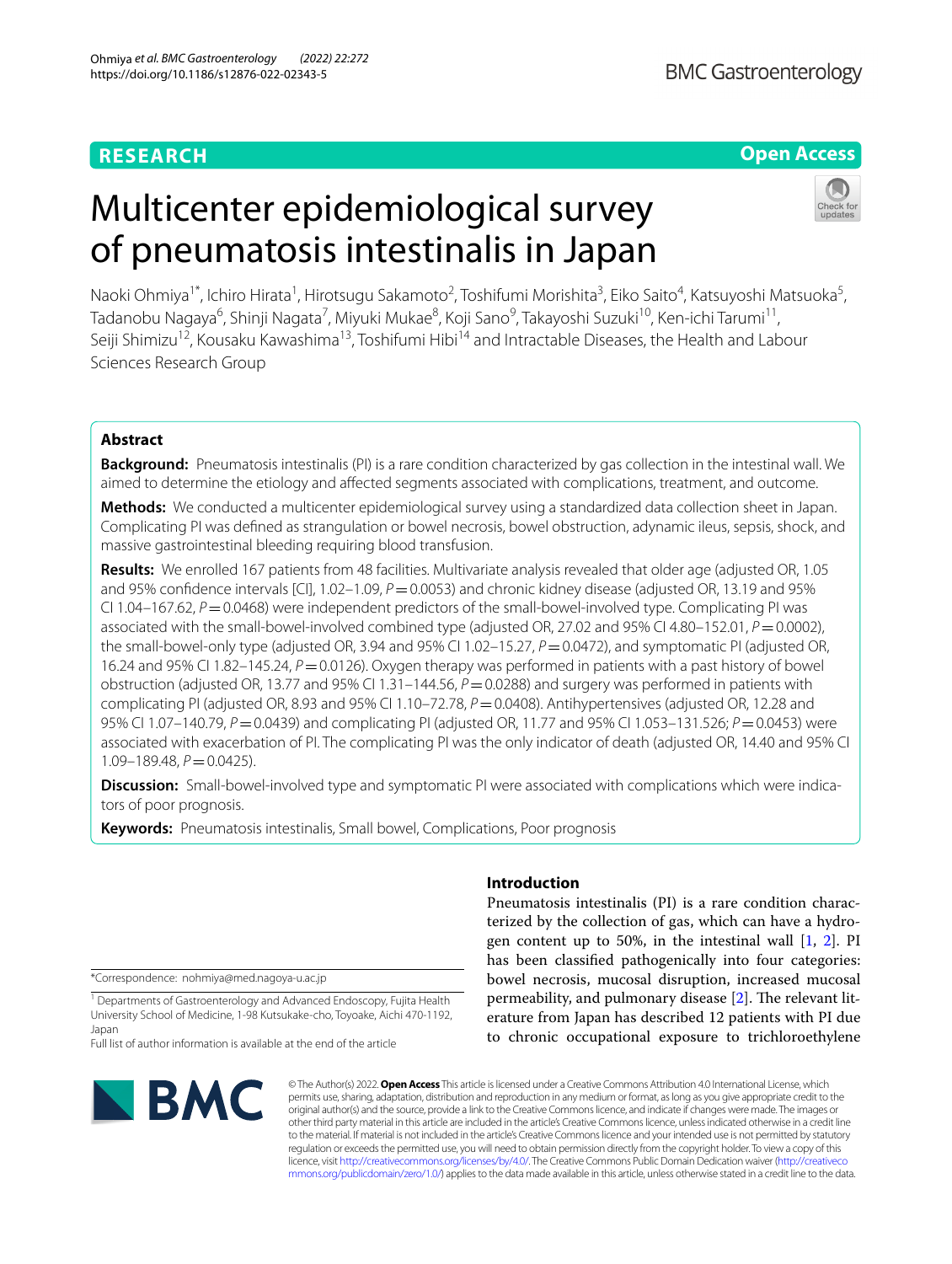## **RESEARCH**

## **Open Access**

# Multicenter epidemiological survey of pneumatosis intestinalis in Japan



Naoki Ohmiya<sup>1\*</sup>, Ichiro Hirata<sup>1</sup>, Hirotsugu Sakamoto<sup>2</sup>, Toshifumi Morishita<sup>3</sup>, Eiko Saito<sup>4</sup>, Katsuyoshi Matsuoka<sup>5</sup>, Tadanobu Nagaya<sup>6</sup>, Shinji Nagata<sup>7</sup>, Miyuki Mukae<sup>8</sup>, Koji Sano<sup>9</sup>, Takayoshi Suzuki<sup>10</sup>, Ken-ichi Tarumi<sup>11</sup>, Seiji Shimizu<sup>12</sup>, Kousaku Kawashima<sup>13</sup>, Toshifumi Hibi<sup>14</sup> and Intractable Diseases, the Health and Labour Sciences Research Group

## **Abstract**

**Background:** Pneumatosis intestinalis (PI) is a rare condition characterized by gas collection in the intestinal wall. We aimed to determine the etiology and afected segments associated with complications, treatment, and outcome.

**Methods:** We conducted a multicenter epidemiological survey using a standardized data collection sheet in Japan. Complicating PI was defned as strangulation or bowel necrosis, bowel obstruction, adynamic ileus, sepsis, shock, and massive gastrointestinal bleeding requiring blood transfusion.

**Results:** We enrolled 167 patients from 48 facilities. Multivariate analysis revealed that older age (adjusted OR, 1.05 and 95% confidence intervals [CI], 1.02–1.09, *P*=0.0053) and chronic kidney disease (adjusted OR, 13.19 and 95% CI 1.04–167.62,  $P = 0.0468$ ) were independent predictors of the small-bowel-involved type. Complicating PI was associated with the small-bowel-involved combined type (adjusted OR, 27.02 and 95% CI 4.80–152.01, *P* = 0.0002), the small-bowel-only type (adjusted OR, 3.94 and 95% CI 1.02–15.27, *P* = 0.0472), and symptomatic PI (adjusted OR, 16.24 and 95% CI 1.82–145.24, *P* = 0.0126). Oxygen therapy was performed in patients with a past history of bowel obstruction (adjusted OR, 13.77 and 95% CI 1.31–144.56, *P*=0.0288) and surgery was performed in patients with complicating PI (adjusted OR, 8.93 and 95% CI 1.10–72.78,  $P = 0.0408$ ). Antihypertensives (adjusted OR, 12.28 and 95% CI 1.07–140.79, *P*=0.0439) and complicating PI (adjusted OR, 11.77 and 95% CI 1.053–131.526; *P*=0.0453) were associated with exacerbation of PI. The complicating PI was the only indicator of death (adjusted OR, 14.40 and 95% CI 1.09-189.48,  $P=0.0425$ ).

**Discussion:** Small-bowel-involved type and symptomatic PI were associated with complications which were indicators of poor prognosis.

**Keywords:** Pneumatosis intestinalis, Small bowel, Complications, Poor prognosis

\*Correspondence: nohmiya@med.nagoya-u.ac.jp

<sup>1</sup> Departments of Gastroenterology and Advanced Endoscopy, Fujita Health University School of Medicine, 1‑98 Kutsukake‑cho, Toyoake, Aichi 470‑1192, Japan

Full list of author information is available at the end of the article



## **Introduction**

Pneumatosis intestinalis (PI) is a rare condition characterized by the collection of gas, which can have a hydrogen content up to 50%, in the intestinal wall [[1,](#page-6-0) [2](#page-6-1)]. PI has been classifed pathogenically into four categories: bowel necrosis, mucosal disruption, increased mucosal permeability, and pulmonary disease [[2\]](#page-6-1). The relevant literature from Japan has described 12 patients with PI due to chronic occupational exposure to trichloroethylene

© The Author(s) 2022. **Open Access** This article is licensed under a Creative Commons Attribution 4.0 International License, which permits use, sharing, adaptation, distribution and reproduction in any medium or format, as long as you give appropriate credit to the original author(s) and the source, provide a link to the Creative Commons licence, and indicate if changes were made. The images or other third party material in this article are included in the article's Creative Commons licence, unless indicated otherwise in a credit line to the material. If material is not included in the article's Creative Commons licence and your intended use is not permitted by statutory regulation or exceeds the permitted use, you will need to obtain permission directly from the copyright holder. To view a copy of this licence, visit [http://creativecommons.org/licenses/by/4.0/.](http://creativecommons.org/licenses/by/4.0/) The Creative Commons Public Domain Dedication waiver ([http://creativeco](http://creativecommons.org/publicdomain/zero/1.0/) [mmons.org/publicdomain/zero/1.0/](http://creativecommons.org/publicdomain/zero/1.0/)) applies to the data made available in this article, unless otherwise stated in a credit line to the data.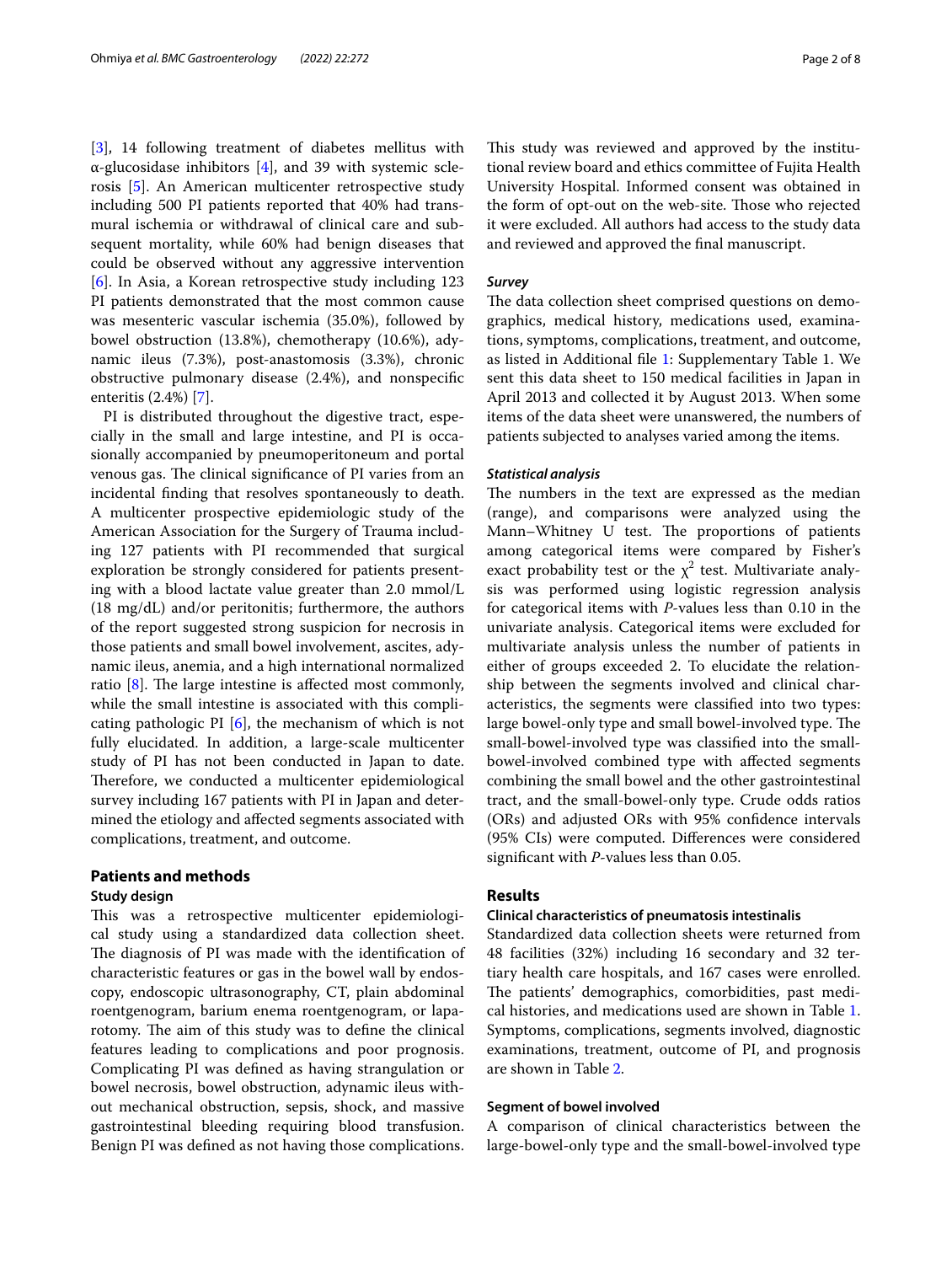[[3\]](#page-6-2), 14 following treatment of diabetes mellitus with α-glucosidase inhibitors [\[4](#page-6-3)], and 39 with systemic sclerosis [\[5](#page-6-4)]. An American multicenter retrospective study including 500 PI patients reported that 40% had transmural ischemia or withdrawal of clinical care and subsequent mortality, while 60% had benign diseases that could be observed without any aggressive intervention [[6\]](#page-6-5). In Asia, a Korean retrospective study including 123 PI patients demonstrated that the most common cause was mesenteric vascular ischemia (35.0%), followed by bowel obstruction (13.8%), chemotherapy (10.6%), adynamic ileus (7.3%), post-anastomosis (3.3%), chronic obstructive pulmonary disease (2.4%), and nonspecifc enteritis (2.4%) [\[7](#page-7-0)].

PI is distributed throughout the digestive tract, especially in the small and large intestine, and PI is occasionally accompanied by pneumoperitoneum and portal venous gas. The clinical significance of PI varies from an incidental fnding that resolves spontaneously to death. A multicenter prospective epidemiologic study of the American Association for the Surgery of Trauma including 127 patients with PI recommended that surgical exploration be strongly considered for patients presenting with a blood lactate value greater than 2.0 mmol/L (18 mg/dL) and/or peritonitis; furthermore, the authors of the report suggested strong suspicion for necrosis in those patients and small bowel involvement, ascites, adynamic ileus, anemia, and a high international normalized ratio  $[8]$  $[8]$ . The large intestine is affected most commonly, while the small intestine is associated with this complicating pathologic PI  $[6]$  $[6]$ , the mechanism of which is not fully elucidated. In addition, a large-scale multicenter study of PI has not been conducted in Japan to date. Therefore, we conducted a multicenter epidemiological survey including 167 patients with PI in Japan and determined the etiology and afected segments associated with complications, treatment, and outcome.

## **Patients and methods**

#### **Study design**

This was a retrospective multicenter epidemiological study using a standardized data collection sheet. The diagnosis of PI was made with the identification of characteristic features or gas in the bowel wall by endoscopy, endoscopic ultrasonography, CT, plain abdominal roentgenogram, barium enema roentgenogram, or laparotomy. The aim of this study was to define the clinical features leading to complications and poor prognosis. Complicating PI was defned as having strangulation or bowel necrosis, bowel obstruction, adynamic ileus without mechanical obstruction, sepsis, shock, and massive gastrointestinal bleeding requiring blood transfusion. Benign PI was defned as not having those complications. This study was reviewed and approved by the institutional review board and ethics committee of Fujita Health University Hospital. Informed consent was obtained in the form of opt-out on the web-site. Those who rejected it were excluded. All authors had access to the study data and reviewed and approved the fnal manuscript.

## *Survey*

The data collection sheet comprised questions on demographics, medical history, medications used, examinations, symptoms, complications, treatment, and outcome, as listed in Additional fle [1](#page-5-0): Supplementary Table 1. We sent this data sheet to 150 medical facilities in Japan in April 2013 and collected it by August 2013. When some items of the data sheet were unanswered, the numbers of patients subjected to analyses varied among the items.

#### *Statistical analysis*

The numbers in the text are expressed as the median (range), and comparisons were analyzed using the Mann–Whitney U test. The proportions of patients among categorical items were compared by Fisher's exact probability test or the  $\chi^2$  test. Multivariate analysis was performed using logistic regression analysis for categorical items with *P*-values less than 0.10 in the univariate analysis. Categorical items were excluded for multivariate analysis unless the number of patients in either of groups exceeded 2. To elucidate the relationship between the segments involved and clinical characteristics, the segments were classifed into two types: large bowel-only type and small bowel-involved type. The small-bowel-involved type was classifed into the smallbowel-involved combined type with afected segments combining the small bowel and the other gastrointestinal tract, and the small-bowel-only type. Crude odds ratios (ORs) and adjusted ORs with 95% confdence intervals (95% CIs) were computed. Diferences were considered signifcant with *P*-values less than 0.05.

## **Results**

## **Clinical characteristics of pneumatosis intestinalis**

Standardized data collection sheets were returned from 48 facilities (32%) including 16 secondary and 32 tertiary health care hospitals, and 167 cases were enrolled. The patients' demographics, comorbidities, past medical histories, and medications used are shown in Table [1](#page-2-0). Symptoms, complications, segments involved, diagnostic examinations, treatment, outcome of PI, and prognosis are shown in Table [2.](#page-3-0)

## **Segment of bowel involved**

A comparison of clinical characteristics between the large-bowel-only type and the small-bowel-involved type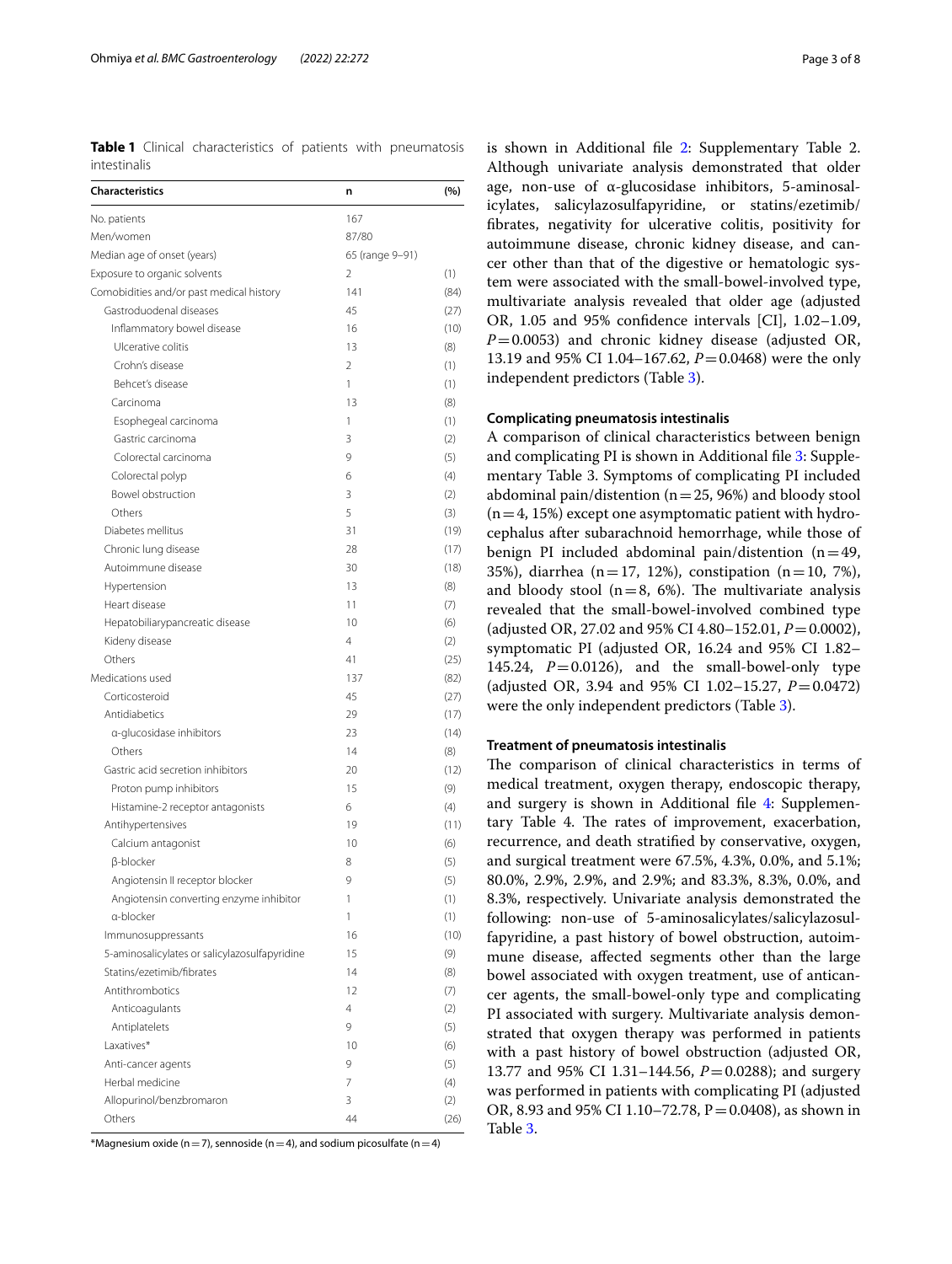<span id="page-2-0"></span>**Table 1** Clinical characteristics of patients with pneumatosis intestinalis

| <b>Characteristics</b>                        | n               | (%)  |
|-----------------------------------------------|-----------------|------|
| No. patients                                  | 167             |      |
| Men/women                                     | 87/80           |      |
| Median age of onset (years)                   | 65 (range 9-91) |      |
| Exposure to organic solvents                  | $\mathfrak{D}$  | (1)  |
| Comobidities and/or past medical history      | 141             | (84) |
| Gastroduodenal diseases                       | 45              | (27) |
| Inflammatory bowel disease                    | 16              | (10) |
| Ulcerative colitis                            | 13              | (8)  |
| Crohn's disease                               | $\overline{2}$  | (1)  |
| Behcet's disease                              | 1               | (1)  |
| Carcinoma                                     | 13              | (8)  |
| Esophegeal carcinoma                          | 1               | (1)  |
| Gastric carcinoma                             | 3               | (2)  |
| Colorectal carcinoma                          | 9               | (5)  |
| Colorectal polyp                              | 6               | (4)  |
| Bowel obstruction                             | 3               | (2)  |
| Others                                        | 5               | (3)  |
| Diabetes mellitus                             | 31              | (19) |
| Chronic lung disease                          | 28              | (17) |
| Autoimmune disease                            | 30              | (18) |
| Hypertension                                  | 13              | (8)  |
| Heart disease                                 | 11              | (7)  |
| Hepatobiliarypancreatic disease               | 10              | (6)  |
| Kideny disease                                | $\overline{4}$  | (2)  |
| Others                                        | 41              | (25) |
| Medications used                              | 137             | (82) |
| Corticosteroid                                | 45              | (27) |
| Antidiabetics                                 | 29              | (17) |
| a-glucosidase inhibitors                      | 23              | (14) |
| Others                                        | 14              | (8)  |
| Gastric acid secretion inhibitors             | 20              | (12) |
| Proton pump inhibitors                        | 15              | (9)  |
| Histamine-2 receptor antagonists              | 6               | (4)  |
| Antihypertensives                             | 19              | (11) |
| Calcium antagonist                            | 10              | (6)  |
| <b>B-blocker</b>                              | 8               | (5)  |
| Angiotensin II receptor blocker               | 9               | (5)  |
| Angiotensin converting enzyme inhibitor       | 1               | (1)  |
| a-blocker                                     | 1               | (1)  |
| Immunosuppressants                            | 16              | (10) |
| 5-aminosalicylates or salicylazosulfapyridine | 15              | (9)  |
| Statins/ezetimib/fibrates                     | 14              | (8)  |
| Antithrombotics                               | 12              | (7)  |
| Anticoagulants                                | 4               | (2)  |
| Antiplatelets                                 | 9               | (5)  |
| Laxatives*                                    | 10              | (6)  |
| Anti-cancer agents                            | 9               | (5)  |
| Herbal medicine                               | 7               | (4)  |
| Allopurinol/benzbromaron                      | 3               | (2)  |
| Others                                        | 44              | (26) |
|                                               |                 |      |

\*Magnesium oxide (n = 7), sennoside (n = 4), and sodium picosulfate (n = 4)

is shown in Additional fle [2:](#page-5-1) Supplementary Table 2. Although univariate analysis demonstrated that older age, non-use of α-glucosidase inhibitors, 5-aminosalicylates, salicylazosulfapyridine, or statins/ezetimib/ fbrates, negativity for ulcerative colitis, positivity for autoimmune disease, chronic kidney disease, and cancer other than that of the digestive or hematologic system were associated with the small-bowel-involved type, multivariate analysis revealed that older age (adjusted OR, 1.05 and 95% confdence intervals [CI], 1.02–1.09, *P*=0.0053) and chronic kidney disease (adjusted OR, 13.19 and 95% CI 1.04–167.62, *P* = 0.0468) were the only independent predictors (Table [3\)](#page-4-0).

## **Complicating pneumatosis intestinalis**

A comparison of clinical characteristics between benign and complicating PI is shown in Additional fle [3:](#page-5-2) Supplementary Table 3. Symptoms of complicating PI included abdominal pain/distention ( $n=25$ , 96%) and bloody stool  $(n=4, 15%)$  except one asymptomatic patient with hydrocephalus after subarachnoid hemorrhage, while those of benign PI included abdominal pain/distention  $(n=49,$ 35%), diarrhea (n=17, 12%), constipation (n=10, 7%), and bloody stool ( $n=8$ , 6%). The multivariate analysis revealed that the small-bowel-involved combined type (adjusted OR, 27.02 and 95% CI 4.80–152.01, *P*=0.0002), symptomatic PI (adjusted OR, 16.24 and 95% CI 1.82– 145.24,  $P=0.0126$ ), and the small-bowel-only type (adjusted OR, 3.94 and 95% CI 1.02–15.27, *P*=0.0472) were the only independent predictors (Table [3\)](#page-4-0).

#### **Treatment of pneumatosis intestinalis**

The comparison of clinical characteristics in terms of medical treatment, oxygen therapy, endoscopic therapy, and surgery is shown in Additional fle [4:](#page-5-3) Supplementary Table 4. The rates of improvement, exacerbation, recurrence, and death stratifed by conservative, oxygen, and surgical treatment were 67.5%, 4.3%, 0.0%, and 5.1%; 80.0%, 2.9%, 2.9%, and 2.9%; and 83.3%, 8.3%, 0.0%, and 8.3%, respectively. Univariate analysis demonstrated the following: non-use of 5-aminosalicylates/salicylazosulfapyridine, a past history of bowel obstruction, autoimmune disease, afected segments other than the large bowel associated with oxygen treatment, use of anticancer agents, the small-bowel-only type and complicating PI associated with surgery. Multivariate analysis demonstrated that oxygen therapy was performed in patients with a past history of bowel obstruction (adjusted OR, 13.77 and 95% CI 1.31–144.56, *P*=0.0288); and surgery was performed in patients with complicating PI (adjusted OR, 8.93 and 95% CI 1.10–72.78,  $P = 0.0408$ , as shown in Table [3](#page-4-0).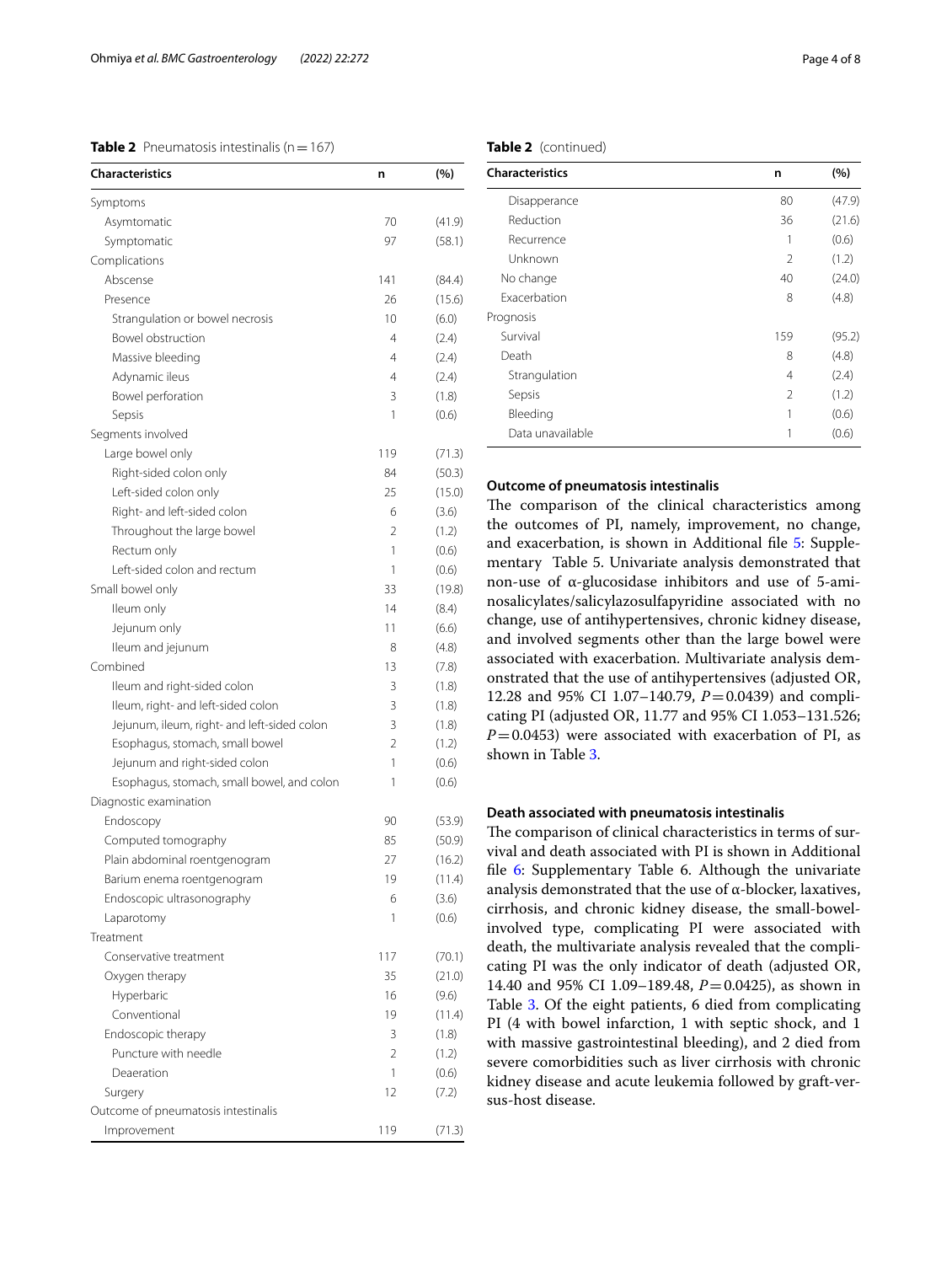## <span id="page-3-0"></span>**Table 2** Pneumatosis intestinalis ( $n=167$ )

| <b>Characteristics</b>                      | n   | (%)    |
|---------------------------------------------|-----|--------|
| Symptoms                                    |     |        |
| Asymtomatic                                 | 70  | (41.9) |
| Symptomatic                                 | 97  | (58.1) |
| Complications                               |     |        |
| Abscense                                    | 141 | (84.4) |
| Presence                                    | 26  | (15.6) |
| Strangulation or bowel necrosis             | 10  | (6.0)  |
| Bowel obstruction                           | 4   | (2.4)  |
| Massive bleeding                            | 4   | (2.4)  |
| Adynamic ileus                              | 4   | (2.4)  |
| Bowel perforation                           | 3   | (1.8)  |
| Sepsis                                      | 1   | (0.6)  |
| Segments involved                           |     |        |
| Large bowel only                            | 119 | (71.3) |
| Right-sided colon only                      | 84  | (50.3) |
| Left-sided colon only                       | 25  | (15.0) |
| Right- and left-sided colon                 | 6   | (3.6)  |
| Throughout the large bowel                  | 2   | (1.2)  |
| Rectum only                                 | 1   | (0.6)  |
| Left-sided colon and rectum                 | 1   | (0.6)  |
| Small bowel only                            | 33  | (19.8) |
| Ileum only                                  | 14  | (8.4)  |
| Jejunum only                                | 11  | (6.6)  |
| Ileum and jejunum                           | 8   | (4.8)  |
| Combined                                    | 13  | (7.8)  |
| Ileum and right-sided colon                 | 3   | (1.8)  |
| Ileum, right- and left-sided colon          | 3   | (1.8)  |
| Jejunum, ileum, right- and left-sided colon | 3   | (1.8)  |
| Esophagus, stomach, small bowel             | 2   | (1.2)  |
| Jejunum and right-sided colon               | 1   | (0.6)  |
| Esophagus, stomach, small bowel, and colon  | 1   | (0.6)  |
| Diagnostic examination                      |     |        |
| Endoscopy                                   | 90  | (53.9) |
| Computed tomography                         | 85  | (50.9) |
| Plain abdominal roentgenogram               | 27  | (16.2) |
| Barium enema roentgenogram                  | 19  | (11.4) |
| Endoscopic ultrasonography                  | 6   | (3.6)  |
| Laparotomy                                  | 1   | (0.6)  |
| Treatment                                   |     |        |
| Conservative treatment                      | 117 | (70.1) |
| Oxygen therapy                              | 35  | (21.0) |
| Hyperbaric                                  | 16  | (9.6)  |
| Conventional                                | 19  | (11.4) |
| Endoscopic therapy                          | 3   | (1.8)  |
| Puncture with needle                        | 2   | (1.2)  |
| Deaeration                                  | 1   | (0.6)  |
| Surgery                                     | 12  | (7.2)  |
| Outcome of pneumatosis intestinalis         |     |        |
| Improvement                                 | 119 | (71.3) |
|                                             |     |        |

## **Table 2** (continued)

| <b>Characteristics</b> | n             | (%)    |
|------------------------|---------------|--------|
| Disapperance           | 80            | (47.9) |
| Reduction              | 36            | (21.6) |
| Recurrence             | 1             | (0.6)  |
| Unknown                | 2             | (1.2)  |
| No change              | 40            | (24.0) |
| <b>Exacerbation</b>    | 8             | (4.8)  |
| Prognosis              |               |        |
| Survival               | 159           | (95.2) |
| Death                  | 8             | (4.8)  |
| Strangulation          | 4             | (2.4)  |
| Sepsis                 | $\mathcal{P}$ | (1.2)  |
| Bleeding               | 1             | (0.6)  |
| Data unavailable       | 1             | (0.6)  |

## **Outcome of pneumatosis intestinalis**

The comparison of the clinical characteristics among the outcomes of PI, namely, improvement, no change, and exacerbation, is shown in Additional fle [5](#page-5-4): Supplementary Table 5. Univariate analysis demonstrated that non-use of α-glucosidase inhibitors and use of 5-aminosalicylates/salicylazosulfapyridine associated with no change, use of antihypertensives, chronic kidney disease, and involved segments other than the large bowel were associated with exacerbation. Multivariate analysis demonstrated that the use of antihypertensives (adjusted OR, 12.28 and 95% CI 1.07–140.79, *P*=0.0439) and complicating PI (adjusted OR, 11.77 and 95% CI 1.053–131.526;  $P=0.0453$ ) were associated with exacerbation of PI, as shown in Table [3.](#page-4-0)

## **Death associated with pneumatosis intestinalis**

The comparison of clinical characteristics in terms of survival and death associated with PI is shown in Additional file [6](#page-5-5): Supplementary Table 6. Although the univariate analysis demonstrated that the use of  $\alpha$ -blocker, laxatives, cirrhosis, and chronic kidney disease, the small-bowelinvolved type, complicating PI were associated with death, the multivariate analysis revealed that the complicating PI was the only indicator of death (adjusted OR, 14.40 and 95% CI 1.09–189.48, *P*=0.0425), as shown in Table [3](#page-4-0). Of the eight patients, 6 died from complicating PI (4 with bowel infarction, 1 with septic shock, and 1 with massive gastrointestinal bleeding), and 2 died from severe comorbidities such as liver cirrhosis with chronic kidney disease and acute leukemia followed by graft-versus-host disease.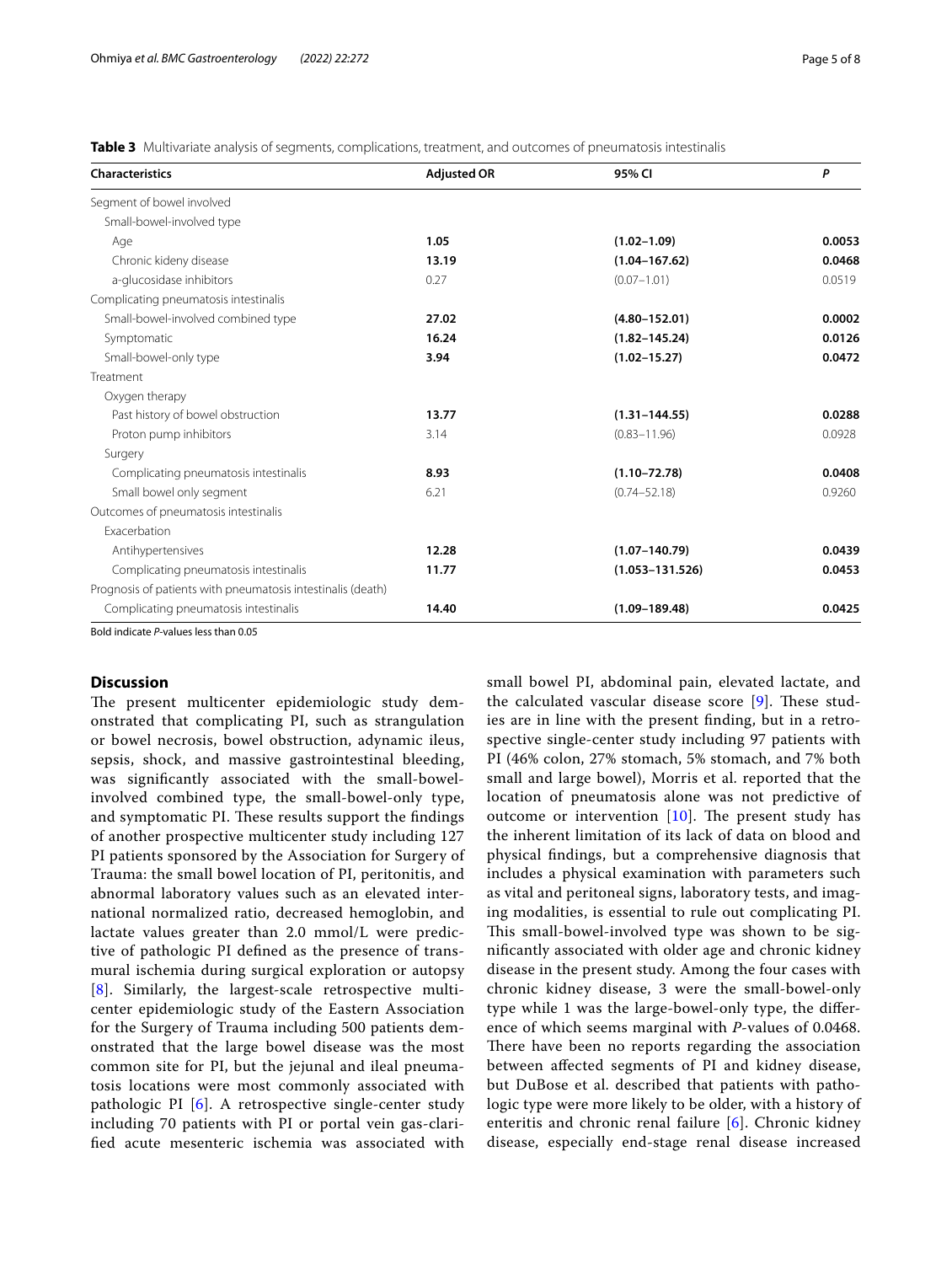<span id="page-4-0"></span>**Table 3** Multivariate analysis of segments, complications, treatment, and outcomes of pneumatosis intestinalis

| <b>Characteristics</b>                                      | <b>Adjusted OR</b> | 95% CI              | P      |
|-------------------------------------------------------------|--------------------|---------------------|--------|
| Segment of bowel involved                                   |                    |                     |        |
| Small-bowel-involved type                                   |                    |                     |        |
| Age                                                         | 1.05               | $(1.02 - 1.09)$     | 0.0053 |
| Chronic kideny disease                                      | 13.19              | $(1.04 - 167.62)$   | 0.0468 |
| a-glucosidase inhibitors                                    | 0.27               | $(0.07 - 1.01)$     | 0.0519 |
| Complicating pneumatosis intestinalis                       |                    |                     |        |
| Small-bowel-involved combined type                          | 27.02              | $(4.80 - 152.01)$   | 0.0002 |
| Symptomatic                                                 | 16.24              | $(1.82 - 145.24)$   | 0.0126 |
| Small-bowel-only type                                       | 3.94               | $(1.02 - 15.27)$    | 0.0472 |
| Treatment                                                   |                    |                     |        |
| Oxygen therapy                                              |                    |                     |        |
| Past history of bowel obstruction                           | 13.77              | $(1.31 - 144.55)$   | 0.0288 |
| Proton pump inhibitors                                      | 3.14               | $(0.83 - 11.96)$    | 0.0928 |
| Surgery                                                     |                    |                     |        |
| Complicating pneumatosis intestinalis                       | 8.93               | $(1.10 - 72.78)$    | 0.0408 |
| Small bowel only segment                                    | 6.21               | $(0.74 - 52.18)$    | 0.9260 |
| Outcomes of pneumatosis intestinalis                        |                    |                     |        |
| <b>Exacerbation</b>                                         |                    |                     |        |
| Antihypertensives                                           | 12.28              | $(1.07 - 140.79)$   | 0.0439 |
| Complicating pneumatosis intestinalis                       | 11.77              | $(1.053 - 131.526)$ | 0.0453 |
| Prognosis of patients with pneumatosis intestinalis (death) |                    |                     |        |
| Complicating pneumatosis intestinalis                       | 14.40              | $(1.09 - 189.48)$   | 0.0425 |

Bold indicate *P*-values less than 0.05

## **Discussion**

The present multicenter epidemiologic study demonstrated that complicating PI, such as strangulation or bowel necrosis, bowel obstruction, adynamic ileus, sepsis, shock, and massive gastrointestinal bleeding, was signifcantly associated with the small-bowelinvolved combined type, the small-bowel-only type, and symptomatic PI. These results support the findings of another prospective multicenter study including 127 PI patients sponsored by the Association for Surgery of Trauma: the small bowel location of PI, peritonitis, and abnormal laboratory values such as an elevated international normalized ratio, decreased hemoglobin, and lactate values greater than 2.0 mmol/L were predictive of pathologic PI defned as the presence of transmural ischemia during surgical exploration or autopsy [[8](#page-7-1)]. Similarly, the largest-scale retrospective multicenter epidemiologic study of the Eastern Association for the Surgery of Trauma including 500 patients demonstrated that the large bowel disease was the most common site for PI, but the jejunal and ileal pneumatosis locations were most commonly associated with pathologic PI [\[6\]](#page-6-5). A retrospective single-center study including 70 patients with PI or portal vein gas-clarifed acute mesenteric ischemia was associated with small bowel PI, abdominal pain, elevated lactate, and the calculated vascular disease score  $[9]$  $[9]$  $[9]$ . These studies are in line with the present fnding, but in a retrospective single-center study including 97 patients with PI (46% colon, 27% stomach, 5% stomach, and 7% both small and large bowel), Morris et al. reported that the location of pneumatosis alone was not predictive of outcome or intervention  $[10]$  $[10]$ . The present study has the inherent limitation of its lack of data on blood and physical fndings, but a comprehensive diagnosis that includes a physical examination with parameters such as vital and peritoneal signs, laboratory tests, and imaging modalities, is essential to rule out complicating PI. This small-bowel-involved type was shown to be signifcantly associated with older age and chronic kidney disease in the present study. Among the four cases with chronic kidney disease, 3 were the small-bowel-only type while 1 was the large-bowel-only type, the diference of which seems marginal with *P*-values of 0.0468. There have been no reports regarding the association between afected segments of PI and kidney disease, but DuBose et al. described that patients with pathologic type were more likely to be older, with a history of enteritis and chronic renal failure [[6\]](#page-6-5). Chronic kidney disease, especially end-stage renal disease increased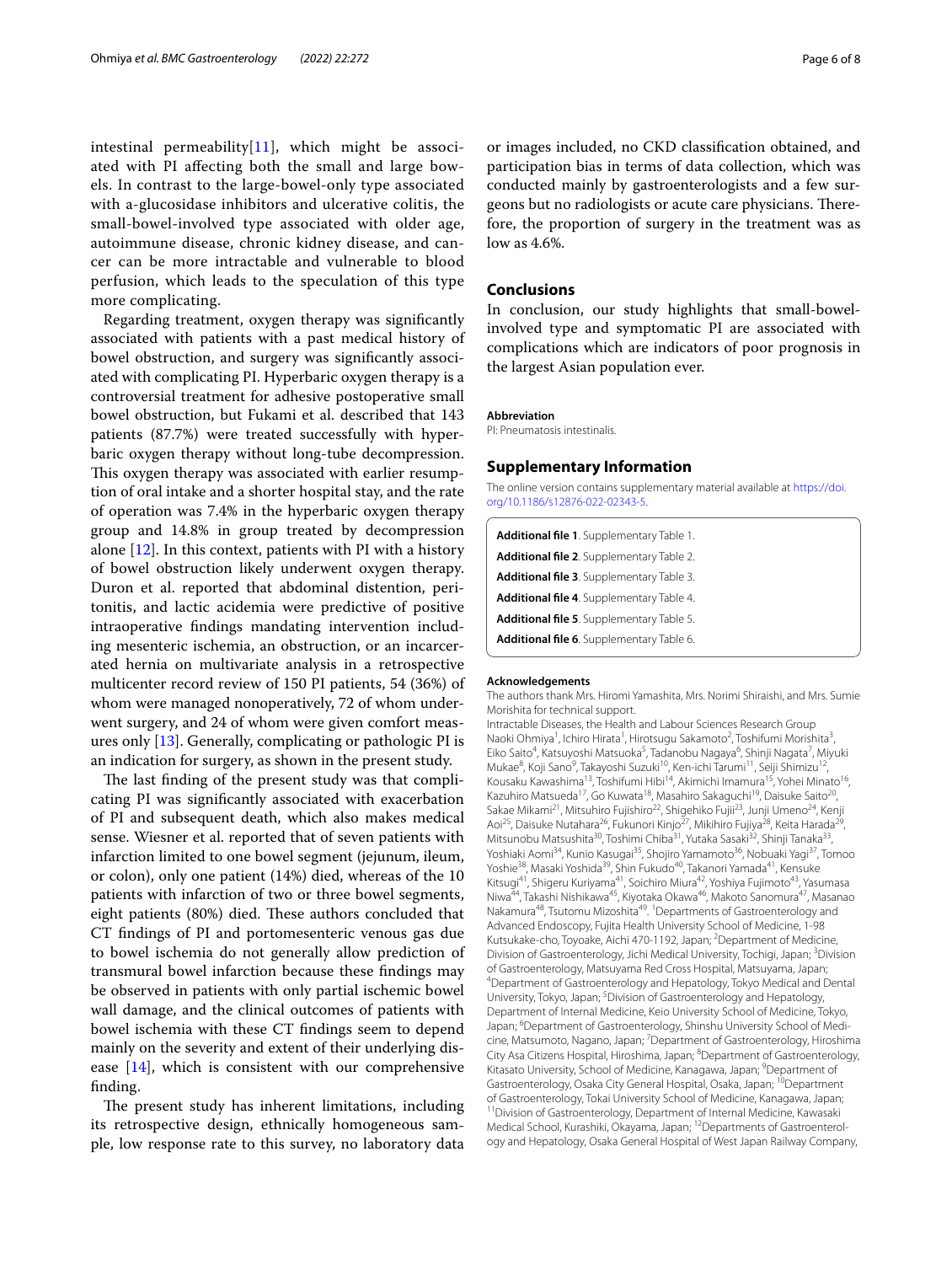intestinal permeability $[11]$  $[11]$  $[11]$ , which might be associated with PI afecting both the small and large bowels. In contrast to the large-bowel-only type associated with a-glucosidase inhibitors and ulcerative colitis, the small-bowel-involved type associated with older age, autoimmune disease, chronic kidney disease, and cancer can be more intractable and vulnerable to blood perfusion, which leads to the speculation of this type more complicating.

Regarding treatment, oxygen therapy was signifcantly associated with patients with a past medical history of bowel obstruction, and surgery was signifcantly associated with complicating PI. Hyperbaric oxygen therapy is a controversial treatment for adhesive postoperative small bowel obstruction, but Fukami et al. described that 143 patients (87.7%) were treated successfully with hyperbaric oxygen therapy without long-tube decompression. This oxygen therapy was associated with earlier resumption of oral intake and a shorter hospital stay, and the rate of operation was 7.4% in the hyperbaric oxygen therapy group and 14.8% in group treated by decompression alone  $[12]$  $[12]$  $[12]$ . In this context, patients with PI with a history of bowel obstruction likely underwent oxygen therapy. Duron et al. reported that abdominal distention, peritonitis, and lactic acidemia were predictive of positive intraoperative fndings mandating intervention including mesenteric ischemia, an obstruction, or an incarcerated hernia on multivariate analysis in a retrospective multicenter record review of 150 PI patients, 54 (36%) of whom were managed nonoperatively, 72 of whom underwent surgery, and 24 of whom were given comfort measures only [[13](#page-7-6)]. Generally, complicating or pathologic PI is an indication for surgery, as shown in the present study.

The last finding of the present study was that complicating PI was signifcantly associated with exacerbation of PI and subsequent death, which also makes medical sense. Wiesner et al. reported that of seven patients with infarction limited to one bowel segment (jejunum, ileum, or colon), only one patient (14%) died, whereas of the 10 patients with infarction of two or three bowel segments, eight patients (80%) died. These authors concluded that CT fndings of PI and portomesenteric venous gas due to bowel ischemia do not generally allow prediction of transmural bowel infarction because these fndings may be observed in patients with only partial ischemic bowel wall damage, and the clinical outcomes of patients with bowel ischemia with these CT fndings seem to depend mainly on the severity and extent of their underlying disease [[14\]](#page-7-7), which is consistent with our comprehensive fnding.

The present study has inherent limitations, including its retrospective design, ethnically homogeneous sample, low response rate to this survey, no laboratory data

or images included, no CKD classifcation obtained, and participation bias in terms of data collection, which was conducted mainly by gastroenterologists and a few surgeons but no radiologists or acute care physicians. Therefore, the proportion of surgery in the treatment was as low as 4.6%.

## **Conclusions**

In conclusion, our study highlights that small-bowelinvolved type and symptomatic PI are associated with complications which are indicators of poor prognosis in the largest Asian population ever.

### **Abbreviation**

PI: Pneumatosis intestinalis.

## **Supplementary Information**

The online version contains supplementary material available at [https://doi.](https://doi.org/10.1186/s12876-022-02343-5) [org/10.1186/s12876-022-02343-5](https://doi.org/10.1186/s12876-022-02343-5).

<span id="page-5-5"></span><span id="page-5-4"></span><span id="page-5-3"></span><span id="page-5-2"></span><span id="page-5-1"></span><span id="page-5-0"></span>

| Additional file 1. Supplementary Table 1. |
|-------------------------------------------|
| Additional file 2. Supplementary Table 2. |
| Additional file 3. Supplementary Table 3. |
| Additional file 4. Supplementary Table 4. |
| Additional file 5. Supplementary Table 5. |
| Additional file 6. Supplementary Table 6. |

#### **Acknowledgements**

The authors thank Mrs. Hiromi Yamashita, Mrs. Norimi Shiraishi, and Mrs. Sumie Morishita for technical support.

Intractable Diseases, the Health and Labour Sciences Research Group Naoki Ohmiya<sup>1</sup>, Ichiro Hirata<sup>1</sup>, Hirotsugu Sakamoto<sup>2</sup>, Toshifumi Morishita<sup>3</sup>, Eiko Saito<sup>4</sup>, Katsuyoshi Matsuoka<sup>5</sup>, Tadanobu Nagaya<sup>6</sup>, Shinji Nagata<sup>7</sup>, Miyuki Mukae<sup>8</sup>, Koji Sano<sup>9</sup>, Takayoshi Suzuki<sup>10</sup>, Ken-ichi Tarumi<sup>11</sup>, Seiji Shimizu<sup>12</sup>, Kousaku Kawashima<sup>13</sup>, Toshifumi Hibi<sup>14</sup>, Akimichi Imamura<sup>15</sup>, Yohei Minato<sup>16</sup> Kazuhiro Matsueda<sup>17</sup>, Go Kuwata<sup>18</sup>, Masahiro Sakaguchi<sup>19</sup>, Daisuke Saito<sup>20</sup>, Sakae Mikami<sup>21</sup>, Mitsuhiro Fujishiro<sup>22</sup>, Shigehiko Fujii<sup>23</sup>, Junji Umeno<sup>24</sup>, Kenji Aoi<sup>25</sup>, Daisuke Nutahara<sup>26</sup>, Fukunori Kinjo<sup>27</sup>, Mikihiro Fujiya<sup>28</sup>, Keita Harada<sup>29</sup>, Mitsunobu Matsushita<sup>30</sup>, Toshimi Chiba<sup>31</sup>, Yutaka Sasaki<sup>32</sup>, Shinji Tanaka<sup>33</sup>, Yoshiaki Aomi<sup>34</sup>, Kunio Kasugai<sup>35</sup>, Shojiro Yamamoto<sup>36</sup>, Nobuaki Yagi<sup>37</sup>, Tomoo Yoshie<sup>38</sup>, Masaki Yoshida<sup>39</sup>, Shin Fukudo<sup>40</sup>, Takanori Yamada<sup>41</sup>, Kensuke Kitsugi<sup>41</sup>, Shigeru Kuriyama<sup>41</sup>, Soichiro Miura<sup>42</sup>, Yoshiya Fujimoto<sup>43</sup>, Yasumasa Niwa<sup>44</sup>, Takashi Nishikawa<sup>45</sup>, Kiyotaka Okawa<sup>46</sup>, Makoto Sanomura<sup>47</sup>, Masanao Nakamura<sup>48</sup>, Tsutomu Mizoshita<sup>49</sup>. <sup>1</sup> Departments of Gastroenterology and Advanced Endoscopy, Fujita Health University School of Medicine, 1-98 Kutsukake-cho, Toyoake, Aichi 470-1192, Japan; <sup>2</sup>Department of Medicine, Division of Gastroenterology, Jichi Medical University, Tochigi, Japan; <sup>3</sup>Division of Gastroenterology, Matsuyama Red Cross Hospital, Matsuyama, Japan; 4 Department of Gastroenterology and Hepatology, Tokyo Medical and Dental University, Tokyo, Japan; <sup>5</sup>Division of Gastroenterology and Hepatology, Department of Internal Medicine, Keio University School of Medicine, Tokyo, Japan; <sup>6</sup>Department of Gastroenterology, Shinshu University School of Medicine, Matsumoto, Nagano, Japan; <sup>7</sup>Department of Gastroenterology, Hiroshima City Asa Citizens Hospital, Hiroshima, Japan; <sup>8</sup>Department of Gastroenterology, Kitasato University, School of Medicine, Kanagawa, Japan; <sup>9</sup>Department of Gastroenterology, Osaka City General Hospital, Osaka, Japan; <sup>10</sup>Department of Gastroenterology, Tokai University School of Medicine, Kanagawa, Japan; <sup>11</sup> Division of Gastroenterology, Department of Internal Medicine, Kawasaki Medical School, Kurashiki, Okayama, Japan; <sup>12</sup>Departments of Gastroenterology and Hepatology, Osaka General Hospital of West Japan Railway Company,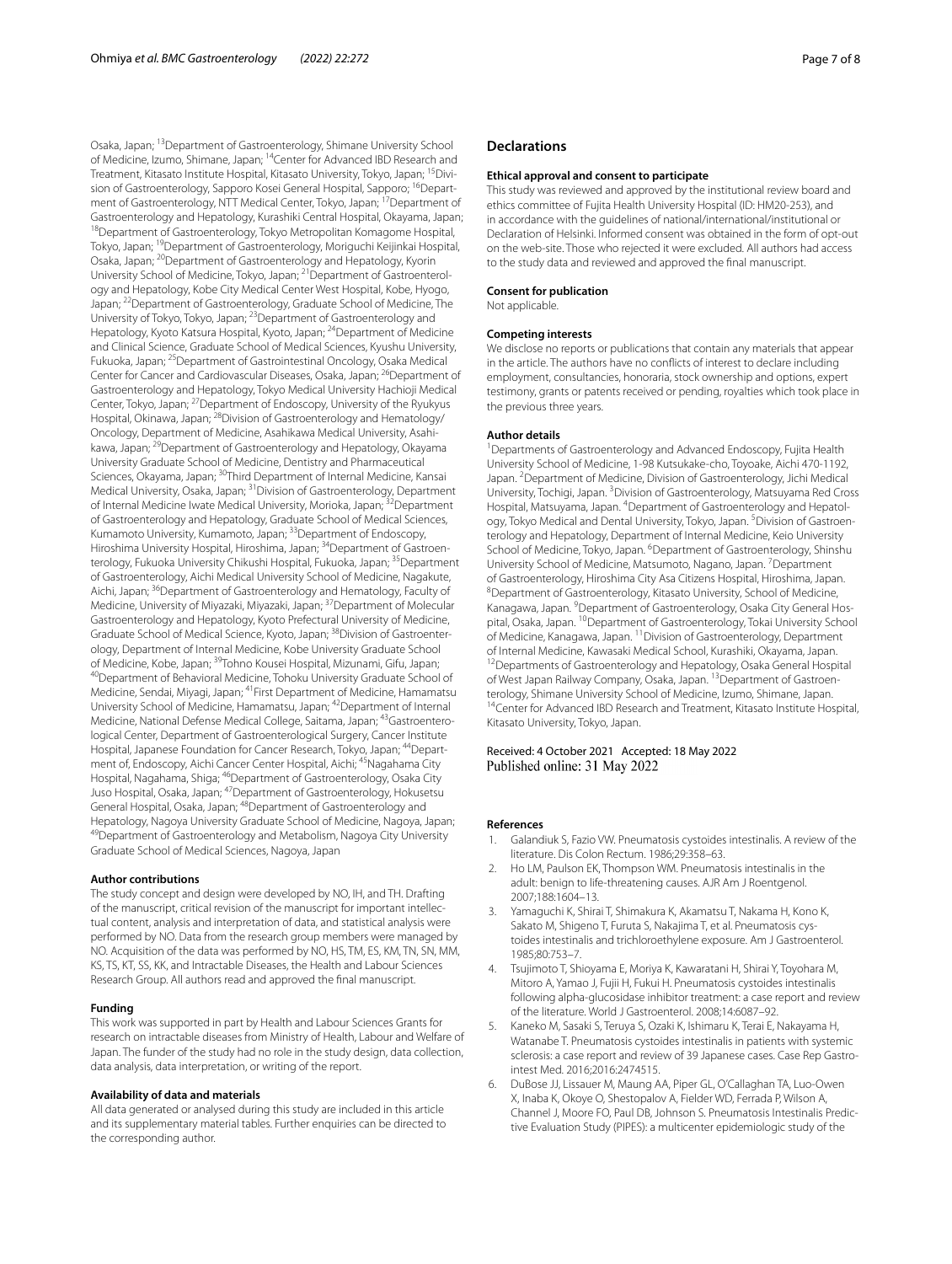Osaka, Japan; 13Department of Gastroenterology, Shimane University School of Medicine, Izumo, Shimane, Japan; 14Center for Advanced IBD Research and Treatment, Kitasato Institute Hospital, Kitasato University, Tokyo, Japan; <sup>15</sup>Division of Gastroenterology, Sapporo Kosei General Hospital, Sapporo; <sup>16</sup>Department of Gastroenterology, NTT Medical Center, Tokyo, Japan; 17Department of Gastroenterology and Hepatology, Kurashiki Central Hospital, Okayama, Japan; 18Department of Gastroenterology, Tokyo Metropolitan Komagome Hospital, Tokyo, Japan; <sup>19</sup>Department of Gastroenterology, Moriguchi Keijinkai Hospital, Osaka, Japan; 20Department of Gastroenterology and Hepatology, Kyorin University School of Medicine, Tokyo, Japan; <sup>21</sup> Department of Gastroenterology and Hepatology, Kobe City Medical Center West Hospital, Kobe, Hyogo, Japan; 22Department of Gastroenterology, Graduate School of Medicine, The University of Tokyo, Tokyo, Japan; 23Department of Gastroenterology and Hepatology, Kyoto Katsura Hospital, Kyoto, Japan; 24Department of Medicine and Clinical Science, Graduate School of Medical Sciences, Kyushu University, Fukuoka, Japan; 25Department of Gastrointestinal Oncology, Osaka Medical Center for Cancer and Cardiovascular Diseases, Osaka, Japan; 26Department of Gastroenterology and Hepatology, Tokyo Medical University Hachioji Medical Center, Tokyo, Japan; 27Department of Endoscopy, University of the Ryukyus Hospital, Okinawa, Japan; <sup>28</sup>Division of Gastroenterology and Hematology/ Oncology, Department of Medicine, Asahikawa Medical University, Asahi‑ kawa, Japan; 29Department of Gastroenterology and Hepatology, Okayama University Graduate School of Medicine, Dentistry and Pharmaceutical Sciences, Okayama, Japan; 30Third Department of Internal Medicine, Kansai Medical University, Osaka, Japan; 31Division of Gastroenterology, Department of Internal Medicine Iwate Medical University, Morioka, Japan; 32Department of Gastroenterology and Hepatology, Graduate School of Medical Sciences, Kumamoto University, Kumamoto, Japan; 33Department of Endoscopy, Hiroshima University Hospital, Hiroshima, Japan; <sup>34</sup>Department of Gastroenterology, Fukuoka University Chikushi Hospital, Fukuoka, Japan; <sup>35</sup>Department of Gastroenterology, Aichi Medical University School of Medicine, Nagakute, Aichi, Japan; <sup>36</sup>Department of Gastroenterology and Hematology, Faculty of Medicine, University of Miyazaki, Miyazaki, Japan; <sup>37</sup>Department of Molecular Gastroenterology and Hepatology, Kyoto Prefectural University of Medicine, Graduate School of Medical Science, Kyoto, Japan; <sup>38</sup>Division of Gastroenterology, Department of Internal Medicine, Kobe University Graduate School of Medicine, Kobe, Japan;<sup>39</sup>Tohno Kousei Hospital, Mizunami, Gifu, Japan; <sup>40</sup>Department of Behavioral Medicine, Tohoku University Graduate School of Medicine, Sendai, Miyagi, Japan; 41First Department of Medicine, Hamamatsu University School of Medicine, Hamamatsu, Japan; 42Department of Internal Medicine, National Defense Medical College, Saitama, Japan; <sup>43</sup>Gastroenterological Center, Department of Gastroenterological Surgery, Cancer Institute Hospital, Japanese Foundation for Cancer Research, Tokyo, Japan; <sup>44</sup>Department of, Endoscopy, Aichi Cancer Center Hospital, Aichi; 45Nagahama City Hospital, Nagahama, Shiga; <sup>46</sup>Department of Gastroenterology, Osaka City Juso Hospital, Osaka, Japan; 47Department of Gastroenterology, Hokusetsu General Hospital, Osaka, Japan; 48Department of Gastroenterology and Hepatology, Nagoya University Graduate School of Medicine, Nagoya, Japan; <sup>49</sup>Department of Gastroenterology and Metabolism, Nagoya City University Graduate School of Medical Sciences, Nagoya, Japan

#### **Author contributions**

The study concept and design were developed by NO, IH, and TH. Drafting of the manuscript, critical revision of the manuscript for important intellec‑ tual content, analysis and interpretation of data, and statistical analysis were performed by NO. Data from the research group members were managed by NO. Acquisition of the data was performed by NO, HS, TM, ES, KM, TN, SN, MM, KS, TS, KT, SS, KK, and Intractable Diseases, the Health and Labour Sciences Research Group. All authors read and approved the fnal manuscript.

#### **Funding**

This work was supported in part by Health and Labour Sciences Grants for research on intractable diseases from Ministry of Health, Labour and Welfare of Japan. The funder of the study had no role in the study design, data collection, data analysis, data interpretation, or writing of the report.

#### **Availability of data and materials**

All data generated or analysed during this study are included in this article and its supplementary material tables. Further enquiries can be directed to the corresponding author.

### **Declarations**

#### **Ethical approval and consent to participate**

This study was reviewed and approved by the institutional review board and ethics committee of Fujita Health University Hospital (ID: HM20-253), and in accordance with the guidelines of national/international/institutional or Declaration of Helsinki. Informed consent was obtained in the form of opt-out on the web-site. Those who rejected it were excluded. All authors had access to the study data and reviewed and approved the fnal manuscript.

#### **Consent for publication**

Not applicable.

#### **Competing interests**

We disclose no reports or publications that contain any materials that appear in the article. The authors have no conficts of interest to declare including employment, consultancies, honoraria, stock ownership and options, expert testimony, grants or patents received or pending, royalties which took place in the previous three years.

#### **Author details**

<sup>1</sup> Departments of Gastroenterology and Advanced Endoscopy, Fujita Health University School of Medicine, 1‑98 Kutsukake‑cho, Toyoake, Aichi 470‑1192, Japan. <sup>2</sup> Department of Medicine, Division of Gastroenterology, Jichi Medical University, Tochigi, Japan. <sup>3</sup> Division of Gastroenterology, Matsuyama Red Cross Hospital, Matsuyama, Japan. <sup>4</sup> Department of Gastroenterology and Hepatology, Tokyo Medical and Dental University, Tokyo, Japan. <sup>5</sup> Division of Gastroenterology and Hepatology, Department of Internal Medicine, Keio University School of Medicine, Tokyo, Japan. <sup>6</sup> Department of Gastroenterology, Shinshu University School of Medicine, Matsumoto, Nagano, Japan. <sup>7</sup> Department of Gastroenterology, Hiroshima City Asa Citizens Hospital, Hiroshima, Japan. 8 Department of Gastroenterology, Kitasato University, School of Medicine, Kanagawa, Japan. <sup>9</sup> Department of Gastroenterology, Osaka City General Hospital, Osaka, Japan. <sup>10</sup>Department of Gastroenterology, Tokai University School of Medicine, Kanagawa, Japan. 11Division of Gastroenterology, Department of Internal Medicine, Kawasaki Medical School, Kurashiki, Okayama, Japan.<br><sup>12</sup>Departments of Gastroenterology and Hepatology, Osaka General Hospital of West Japan Railway Company, Osaka, Japan. <sup>13</sup>Department of Gastroenterology, Shimane University School of Medicine, Izumo, Shimane, Japan.<br><sup>14</sup>Center for Advanced IBD Research and Treatment, Kitasato Institute Hospital, Kitasato University, Tokyo, Japan.

#### Received: 4 October 2021 Accepted: 18 May 2022 Published online: 31 May 2022

#### **References**

- <span id="page-6-0"></span>1. Galandiuk S, Fazio VW. Pneumatosis cystoides intestinalis. A review of the literature. Dis Colon Rectum. 1986;29:358–63.
- <span id="page-6-1"></span>2. Ho LM, Paulson EK, Thompson WM. Pneumatosis intestinalis in the adult: benign to life-threatening causes. AJR Am J Roentgenol. 2007;188:1604–13.
- <span id="page-6-2"></span>3. Yamaguchi K, Shirai T, Shimakura K, Akamatsu T, Nakama H, Kono K, Sakato M, Shigeno T, Furuta S, Nakajima T, et al. Pneumatosis cystoides intestinalis and trichloroethylene exposure. Am J Gastroenterol. 1985;80:753–7.
- <span id="page-6-3"></span>4. Tsujimoto T, Shioyama E, Moriya K, Kawaratani H, Shirai Y, Toyohara M, Mitoro A, Yamao J, Fujii H, Fukui H. Pneumatosis cystoides intestinalis following alpha-glucosidase inhibitor treatment: a case report and review of the literature. World J Gastroenterol. 2008;14:6087–92.
- <span id="page-6-4"></span>5. Kaneko M, Sasaki S, Teruya S, Ozaki K, Ishimaru K, Terai E, Nakayama H, Watanabe T. Pneumatosis cystoides intestinalis in patients with systemic sclerosis: a case report and review of 39 Japanese cases. Case Rep Gastrointest Med. 2016;2016:2474515.
- <span id="page-6-5"></span>6. DuBose JJ, Lissauer M, Maung AA, Piper GL, O'Callaghan TA, Luo-Owen X, Inaba K, Okoye O, Shestopalov A, Fielder WD, Ferrada P, Wilson A, Channel J, Moore FO, Paul DB, Johnson S. Pneumatosis Intestinalis Predic‑ tive Evaluation Study (PIPES): a multicenter epidemiologic study of the